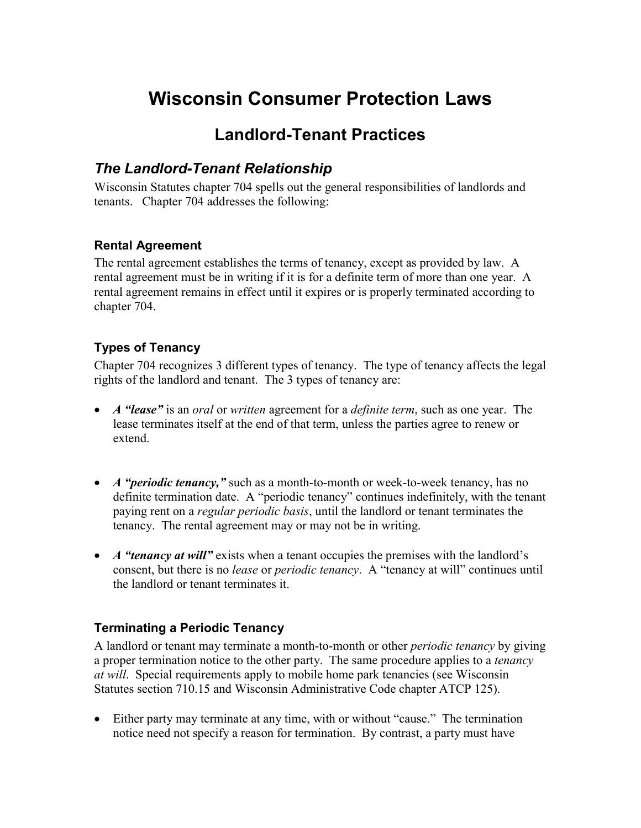# **Wisconsin Consumer Protection Laws**

# **Landlord-Tenant Practices**

## *The Landlord-Tenant Relationship*

Wisconsin Statutes chapter 704 spells out the general responsibilities of landlords and tenants. Chapter 704 addresses the following:

#### **Rental Agreement**

The rental agreement establishes the terms of tenancy, except as provided by law. A rental agreement must be in writing if it is for a definite term of more than one year. A rental agreement remains in effect until it expires or is properly terminated according to chapter 704.

#### **Types of Tenancy**

Chapter 704 recognizes 3 different types of tenancy. The type of tenancy affects the legal rights of the landlord and tenant. The 3 types of tenancy are:

- *A "lease"* is an *oral* or *written* agreement for a *definite term*, such as one year. The lease terminates itself at the end of that term, unless the parties agree to renew or extend.
- *A "periodic tenancy,"* such as a month-to-month or week-to-week tenancy, has no definite termination date. A "periodic tenancy" continues indefinitely, with the tenant paying rent on a *regular periodic basis*, until the landlord or tenant terminates the tenancy. The rental agreement may or may not be in writing.
- *A "tenancy at will"* exists when a tenant occupies the premises with the landlord's consent, but there is no *lease* or *periodic tenancy*. A "tenancy at will" continues until the landlord or tenant terminates it.

#### **Terminating a Periodic Tenancy**

A landlord or tenant may terminate a month-to-month or other *periodic tenancy* by giving a proper termination notice to the other party. The same procedure applies to a *tenancy at will*. Special requirements apply to mobile home park tenancies (see Wisconsin Statutes section 710.15 and Wisconsin Administrative Code chapter ATCP 125).

 Either party may terminate at any time, with or without "cause." The termination notice need not specify a reason for termination. By contrast, a party must have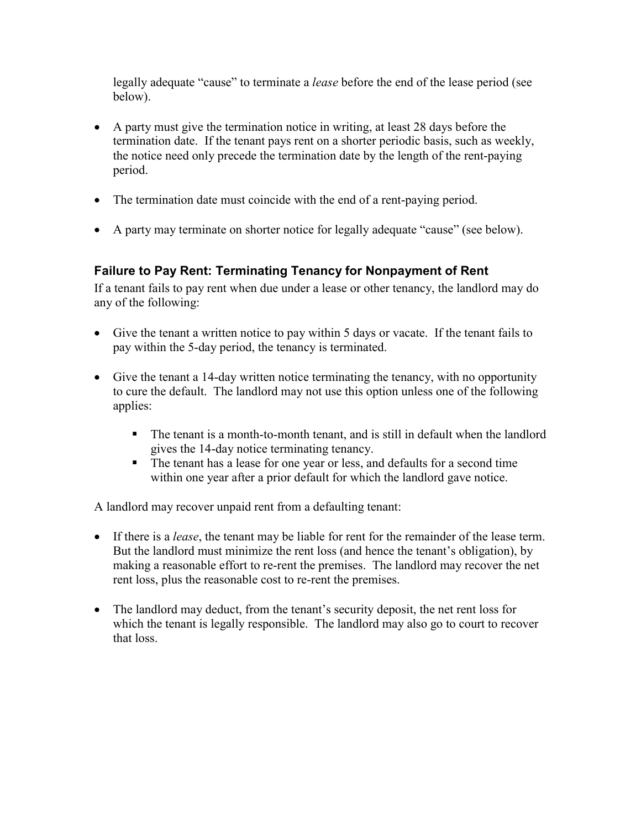legally adequate "cause" to terminate a *lease* before the end of the lease period (see below).

- A party must give the termination notice in writing, at least 28 days before the termination date. If the tenant pays rent on a shorter periodic basis, such as weekly, the notice need only precede the termination date by the length of the rent-paying period.
- The termination date must coincide with the end of a rent-paying period.
- A party may terminate on shorter notice for legally adequate "cause" (see below).

#### **Failure to Pay Rent: Terminating Tenancy for Nonpayment of Rent**

If a tenant fails to pay rent when due under a lease or other tenancy, the landlord may do any of the following:

- Give the tenant a written notice to pay within 5 days or vacate. If the tenant fails to pay within the 5-day period, the tenancy is terminated.
- Give the tenant a 14-day written notice terminating the tenancy, with no opportunity to cure the default. The landlord may not use this option unless one of the following applies:
	- The tenant is a month-to-month tenant, and is still in default when the landlord gives the 14-day notice terminating tenancy.
	- gives the 14-day holds community community of the tenant has a lease for one year or less, and defaults for a second time within one year after a prior default for which the landlord gave notice.

A landlord may recover unpaid rent from a defaulting tenant:

- If there is a *lease*, the tenant may be liable for rent for the remainder of the lease term. But the landlord must minimize the rent loss (and hence the tenant's obligation), by making a reasonable effort to re-rent the premises. The landlord may recover the net rent loss, plus the reasonable cost to re-rent the premises.
- The landlord may deduct, from the tenant's security deposit, the net rent loss for which the tenant is legally responsible. The landlord may also go to court to recover that loss.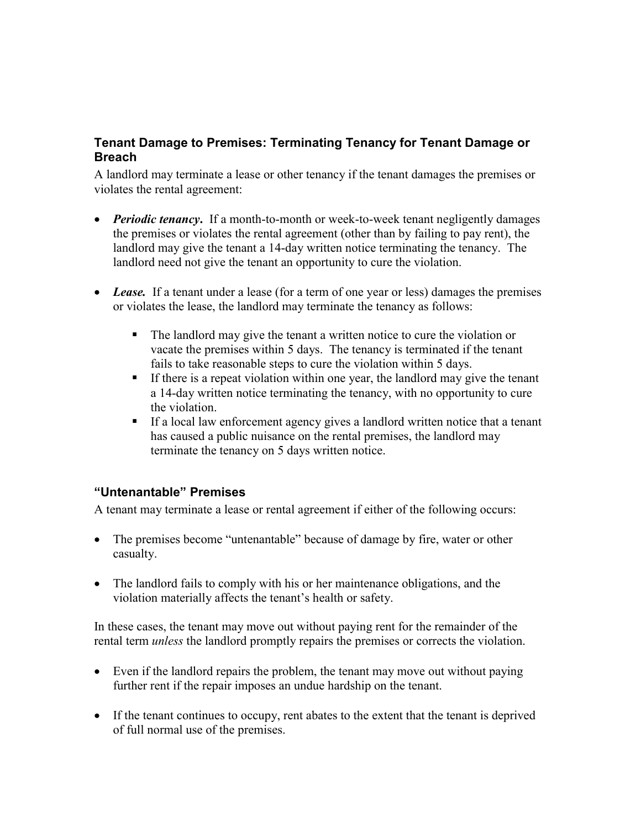#### **Tenant Damage to Premises: Terminating Tenancy for Tenant Damage or Breach**

A landlord may terminate a lease or other tenancy if the tenant damages the premises or violates the rental agreement:

- *Periodic tenancy***.** If a month-to-month or week-to-week tenant negligently damages the premises or violates the rental agreement (other than by failing to pay rent), the landlord may give the tenant a 14-day written notice terminating the tenancy. The landlord need not give the tenant an opportunity to cure the violation.
- Lease. If a tenant under a lease (for a term of one year or less) damages the premises or violates the lease, the landlord may terminate the tenancy as follows:
	- The landlord may give the tenant a written notice to cure the violation or vacate the premises within 5 days. The tenancy is terminated if the tenant fails to take reasonable steps to cure the violation within 5 days.
	- If there is a repeat violation within one year, the landlord may give the tenant a 14-day written notice terminating the tenancy, with no opportunity to cure the violation.
	- If a local law enforcement agency gives a landlord written notice that a tenant has caused a public nuisance on the rental premises, the landlord may terminate the tenancy on 5 days written notice.

#### **"Untenantable" Premises**

A tenant may terminate a lease or rental agreement if either of the following occurs:

- The premises become "untenantable" because of damage by fire, water or other casualty.
- The landlord fails to comply with his or her maintenance obligations, and the violation materially affects the tenant's health or safety.

In these cases, the tenant may move out without paying rent for the remainder of the rental term *unless* the landlord promptly repairs the premises or corrects the violation.

- Even if the landlord repairs the problem, the tenant may move out without paying further rent if the repair imposes an undue hardship on the tenant.
- If the tenant continues to occupy, rent abates to the extent that the tenant is deprived of full normal use of the premises.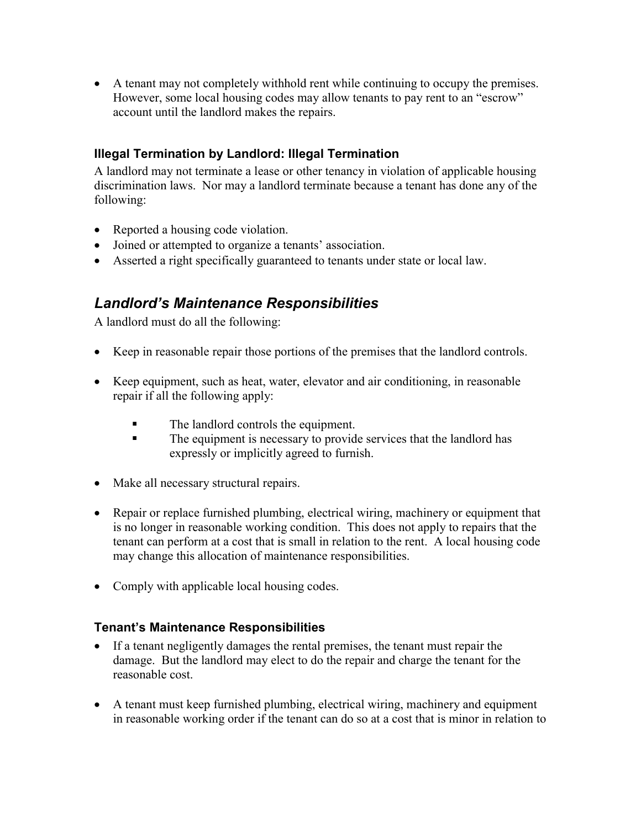A tenant may not completely withhold rent while continuing to occupy the premises. However, some local housing codes may allow tenants to pay rent to an "escrow" account until the landlord makes the repairs.

#### **Illegal Termination by Landlord: Illegal Termination**

A landlord may not terminate a lease or other tenancy in violation of applicable housing discrimination laws. Nor may a landlord terminate because a tenant has done any of the following:

- Reported a housing code violation.
- Joined or attempted to organize a tenants' association.
- Asserted a right specifically guaranteed to tenants under state or local law.

## *Landlord's Maintenance Responsibilities*

A landlord must do all the following:

- Keep in reasonable repair those portions of the premises that the landlord controls.
- Keep equipment, such as heat, water, elevator and air conditioning, in reasonable repair if all the following apply:
	- The landlord controls the equipment.
	- The equipment is necessary to provide services that the landlord has expressly or implicitly agreed to furnish.
- Make all necessary structural repairs.
- Repair or replace furnished plumbing, electrical wiring, machinery or equipment that is no longer in reasonable working condition. This does not apply to repairs that the tenant can perform at a cost that is small in relation to the rent. A local housing code may change this allocation of maintenance responsibilities.
- Comply with applicable local housing codes.

#### **Tenant's Maintenance Responsibilities**

- If a tenant negligently damages the rental premises, the tenant must repair the damage. But the landlord may elect to do the repair and charge the tenant for the reasonable cost.
- A tenant must keep furnished plumbing, electrical wiring, machinery and equipment in reasonable working order if the tenant can do so at a cost that is minor in relation to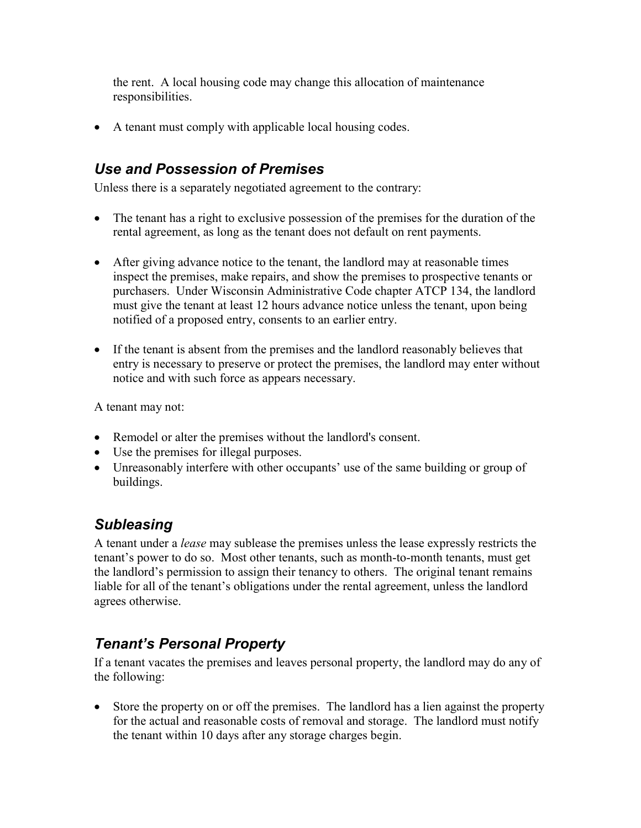the rent. A local housing code may change this allocation of maintenance responsibilities.

A tenant must comply with applicable local housing codes.

# *Use and Possession of Premises*

Unless there is a separately negotiated agreement to the contrary:

- The tenant has a right to exclusive possession of the premises for the duration of the rental agreement, as long as the tenant does not default on rent payments.
- After giving advance notice to the tenant, the landlord may at reasonable times inspect the premises, make repairs, and show the premises to prospective tenants or purchasers. Under Wisconsin Administrative Code chapter ATCP 134, the landlord must give the tenant at least 12 hours advance notice unless the tenant, upon being notified of a proposed entry, consents to an earlier entry.
- If the tenant is absent from the premises and the landlord reasonably believes that entry is necessary to preserve or protect the premises, the landlord may enter without notice and with such force as appears necessary.

A tenant may not:

- Remodel or alter the premises without the landlord's consent.
- Use the premises for illegal purposes.
- Unreasonably interfere with other occupants' use of the same building or group of buildings.

# *Subleasing*

A tenant under a *lease* may sublease the premises unless the lease expressly restricts the tenant's power to do so. Most other tenants, such as month-to-month tenants, must get the landlord's permission to assign their tenancy to others. The original tenant remains liable for all of the tenant's obligations under the rental agreement, unless the landlord agrees otherwise.

# *Tenant's Personal Property*

If a tenant vacates the premises and leaves personal property, the landlord may do any of the following:

• Store the property on or off the premises. The landlord has a lien against the property for the actual and reasonable costs of removal and storage. The landlord must notify the tenant within 10 days after any storage charges begin.